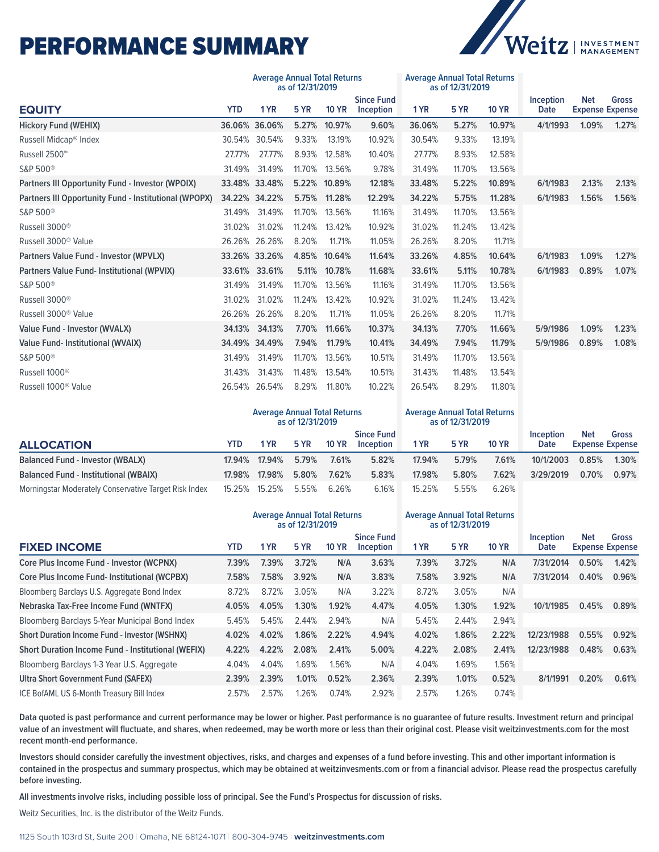## PERFORMANCE SUMMARY



|                                                              |                                                         | <b>Average Annual Total Returns</b><br><b>Average Annual Total Returns</b><br>as of 12/31/2019<br>as of 12/31/2019 |             |              |                                |                                                         |             |              |                   |                                      |              |
|--------------------------------------------------------------|---------------------------------------------------------|--------------------------------------------------------------------------------------------------------------------|-------------|--------------|--------------------------------|---------------------------------------------------------|-------------|--------------|-------------------|--------------------------------------|--------------|
| <b>EQUITY</b>                                                | <b>YTD</b>                                              | 1 YR                                                                                                               | <b>5 YR</b> | <b>10 YR</b> | <b>Since Fund</b><br>Inception | 1 YR                                                    | <b>5 YR</b> | <b>10 YR</b> | Inception<br>Date | <b>Net</b><br><b>Expense Expense</b> | Gross        |
| <b>Hickory Fund (WEHIX)</b>                                  |                                                         | 36.06% 36.06%                                                                                                      | 5.27%       | 10.97%       | 9.60%                          | 36.06%                                                  | 5.27%       | 10.97%       | 4/1/1993          | 1.09%                                | 1.27%        |
| Russell Midcap <sup>®</sup> Index                            | 30.54%                                                  | 30.54%                                                                                                             | 9.33%       | 13.19%       | 10.92%                         | 30.54%                                                  | 9.33%       | 13.19%       |                   |                                      |              |
| Russell 2500™                                                | 27.77%                                                  | 27.77%                                                                                                             | 8.93%       | 12.58%       | 10.40%                         | 27.77%                                                  | 8.93%       | 12.58%       |                   |                                      |              |
| S&P 500 <sup>®</sup>                                         | 31.49%                                                  | 31.49%                                                                                                             | 11.70%      | 13.56%       | 9.78%                          | 31.49%                                                  | 11.70%      | 13.56%       |                   |                                      |              |
| Partners III Opportunity Fund - Investor (WPOIX)             |                                                         | 33.48% 33.48%                                                                                                      | 5.22%       | 10.89%       | 12.18%                         | 33.48%                                                  | 5.22%       | 10.89%       | 6/1/1983          | 2.13%                                | 2.13%        |
| <b>Partners III Opportunity Fund - Institutional (WPOPX)</b> |                                                         | 34.22% 34.22%                                                                                                      | 5.75%       | 11.28%       | 12.29%                         | 34.22%                                                  | 5.75%       | 11.28%       | 6/1/1983          | 1.56%                                | 1.56%        |
| S&P 500 <sup>®</sup>                                         | 31.49%                                                  | 31.49%                                                                                                             | 11.70%      | 13.56%       | 11.16%                         | 31.49%                                                  | 11.70%      | 13.56%       |                   |                                      |              |
| Russell 3000 <sup>®</sup>                                    | 31.02%                                                  | 31.02%                                                                                                             | 11.24%      | 13.42%       | 10.92%                         | 31.02%                                                  | 11.24%      | 13.42%       |                   |                                      |              |
| Russell 3000 <sup>®</sup> Value                              | 26.26%                                                  | 26.26%                                                                                                             | 8.20%       | 11.71%       | 11.05%                         | 26.26%                                                  | 8.20%       | 11.71%       |                   |                                      |              |
| Partners Value Fund - Investor (WPVLX)                       |                                                         | 33.26% 33.26%                                                                                                      | 4.85%       | 10.64%       | 11.64%                         | 33.26%                                                  | 4.85%       | 10.64%       | 6/1/1983          | 1.09%                                | 1.27%        |
| Partners Value Fund- Institutional (WPVIX)                   | 33.61%                                                  | 33.61%                                                                                                             | 5.11%       | 10.78%       | 11.68%                         | 33.61%                                                  | 5.11%       | 10.78%       | 6/1/1983          | 0.89%                                | 1.07%        |
| S&P 500 <sup>®</sup>                                         | 31.49%                                                  | 31.49%                                                                                                             | 11.70%      | 13.56%       | 11.16%                         | 31.49%                                                  | 11.70%      | 13.56%       |                   |                                      |              |
| Russell 3000 <sup>®</sup>                                    | 31.02%                                                  | 31.02%                                                                                                             | 11.24%      | 13.42%       | 10.92%                         | 31.02%                                                  | 11.24%      | 13.42%       |                   |                                      |              |
| Russell 3000 <sup>®</sup> Value                              | 26.26%                                                  | 26.26%                                                                                                             | 8.20%       | 11.71%       | 11.05%                         | 26.26%                                                  | 8.20%       | 11.71%       |                   |                                      |              |
| Value Fund - Investor (WVALX)                                | 34.13%                                                  | 34.13%                                                                                                             | 7.70%       | 11.66%       | 10.37%                         | 34.13%                                                  | 7.70%       | 11.66%       | 5/9/1986          | 1.09%                                | 1.23%        |
| <b>Value Fund- Institutional (WVAIX)</b>                     |                                                         | 34.49% 34.49%                                                                                                      | 7.94%       | 11.79%       | 10.41%                         | 34.49%                                                  | 7.94%       | 11.79%       | 5/9/1986          | 0.89%                                | 1.08%        |
| S&P 500 <sup>®</sup>                                         | 31.49%                                                  | 31.49%                                                                                                             | 11.70%      | 13.56%       | 10.51%                         | 31.49%                                                  | 11.70%      | 13.56%       |                   |                                      |              |
| Russell 1000 <sup>®</sup>                                    | 31.43%                                                  | 31.43%                                                                                                             | 11.48%      | 13.54%       | 10.51%                         | 31.43%                                                  | 11.48%      | 13.54%       |                   |                                      |              |
| Russell 1000 <sup>®</sup> Value                              | 26.54%                                                  | 26.54%                                                                                                             | 8.29%       | 11.80%       | 10.22%                         | 26.54%                                                  | 8.29%       | 11.80%       |                   |                                      |              |
|                                                              | <b>Average Annual Total Returns</b><br>as of 12/31/2019 |                                                                                                                    |             |              |                                | <b>Average Annual Total Returns</b><br>as of 12/31/2019 |             |              |                   |                                      |              |
| <b>ALLOCATION</b>                                            | <b>YTD</b>                                              | 1 YR                                                                                                               | 5 YR        | <b>10 YR</b> | <b>Since Fund</b><br>Inception | 1 YR                                                    | <b>5 YR</b> | <b>10 YR</b> | Inception<br>Date | <b>Net</b><br><b>Expense Expense</b> | <b>Gross</b> |
| <b>Balanced Fund - Investor (WBALX)</b>                      | 17.94%                                                  | 17.94%                                                                                                             | 5.79%       | 7.61%        | 5.82%                          | 17.94%                                                  | 5.79%       | 7.61%        | 10/1/2003         | 0.85%                                | 1.30%        |
| <b>Balanced Fund - Institutional (WBAIX)</b>                 | 17.98%                                                  | 17.98%                                                                                                             | 5.80%       | 7.62%        | 5.83%                          | 17.98%                                                  | 5.80%       | 7.62%        | 3/29/2019         | 0.70%                                | 0.97%        |
| Morningstar Moderately Conservative Target Risk Index        | 15.25%                                                  | 15.25%                                                                                                             | 5.55%       | 6.26%        | 6.16%                          | 15.25%                                                  | 5.55%       | 6.26%        |                   |                                      |              |
|                                                              | <b>Average Annual Total Returns</b><br>as of 12/31/2019 |                                                                                                                    |             |              |                                | <b>Average Annual Total Returns</b><br>as of 12/31/2019 |             |              |                   |                                      |              |
| <b>FIXED INCOME</b>                                          | <b>YTD</b>                                              | 1 YR                                                                                                               | 5 YR        | <b>10 YR</b> | <b>Since Fund</b><br>Inception | 1 YR                                                    | <b>5 YR</b> | <b>10 YR</b> | Inception<br>Date | <b>Net</b><br><b>Expense Expense</b> | Gross        |
| Core Plus Income Fund - Investor (WCPNX)                     | 7.39%                                                   | 7.39%                                                                                                              | 3.72%       | N/A          | 3.63%                          | 7.39%                                                   | 3.72%       | N/A          | 7/31/2014         | 0.50%                                | 1.42%        |
| Core Plus Income Fund- Institutional (WCPBX)                 | 7.58%                                                   | 7.58%                                                                                                              | 3.92%       | N/A          | 3.83%                          | 7.58%                                                   | 3.92%       | N/A          | 7/31/2014         | 0.40%                                | 0.96%        |
| Bloomberg Barclays U.S. Aggregate Bond Index                 | 8.72%                                                   | 8.72%                                                                                                              | 3.05%       | N/A          | 3.22%                          | 8.72%                                                   | 3.05%       | N/A          |                   |                                      |              |
| Nebraska Tax-Free Income Fund (WNTFX)                        | 4.05%                                                   | 4.05%                                                                                                              | 1.30%       | 1.92%        | 4.47%                          | 4.05%                                                   | 1.30%       | 1.92%        | 10/1/1985         | 0.45%                                | 0.89%        |
| Bloomberg Barclays 5-Year Municipal Bond Index               | 5.45%                                                   | 5.45%                                                                                                              | 2.44%       | 2.94%        | N/A                            | 5.45%                                                   | 2.44%       | 2.94%        |                   |                                      |              |
| <b>Short Duration Income Fund - Investor (WSHNX)</b>         | 4.02%                                                   | 4.02%                                                                                                              | 1.86%       | 2.22%        | 4.94%                          | 4.02%                                                   | 1.86%       | 2.22%        | 12/23/1988        | 0.55%                                | 0.92%        |
| Short Duration Income Fund - Institutional (WEFIX)           | 4.22%                                                   | 4.22%                                                                                                              | 2.08%       | 2.41%        | 5.00%                          | 4.22%                                                   | 2.08%       | 2.41%        | 12/23/1988        | 0.48%                                | 0.63%        |
| Bloomberg Barclays 1-3 Year U.S. Aggregate                   | 4.04%                                                   | 4.04%                                                                                                              | 1.69%       | 1.56%        | N/A                            | 4.04%                                                   | 1.69%       | 1.56%        |                   |                                      |              |
| <b>Ultra Short Government Fund (SAFEX)</b>                   | 2.39%                                                   | 2.39%                                                                                                              | 1.01%       | 0.52%        | 2.36%                          | 2.39%                                                   | 1.01%       | 0.52%        | 8/1/1991          | 0.20%                                | 0.61%        |
| ICE BofAML US 6-Month Treasury Bill Index                    | 2.57%                                                   | 2.57%                                                                                                              | 1.26%       | 0.74%        | 2.92%                          | 2.57%                                                   | 1.26%       | 0.74%        |                   |                                      |              |

**Data quoted is past performance and current performance may be lower or higher. Past performance is no guarantee of future results. Investment return and principal value of an investment will fluctuate, and shares, when redeemed, may be worth more or less than their original cost. Please visit weitzinvestments.com for the most recent month-end performance.**

**Investors should consider carefully the investment objectives, risks, and charges and expenses of a fund before investing. This and other important information is contained in the prospectus and summary prospectus, which may be obtained at weitzinvesments.com or from a financial advisor. Please read the prospectus carefully before investing.** 

**All investments involve risks, including possible loss of principal. See the Fund's Prospectus for discussion of risks.**

Weitz Securities, Inc. is the distributor of the Weitz Funds.